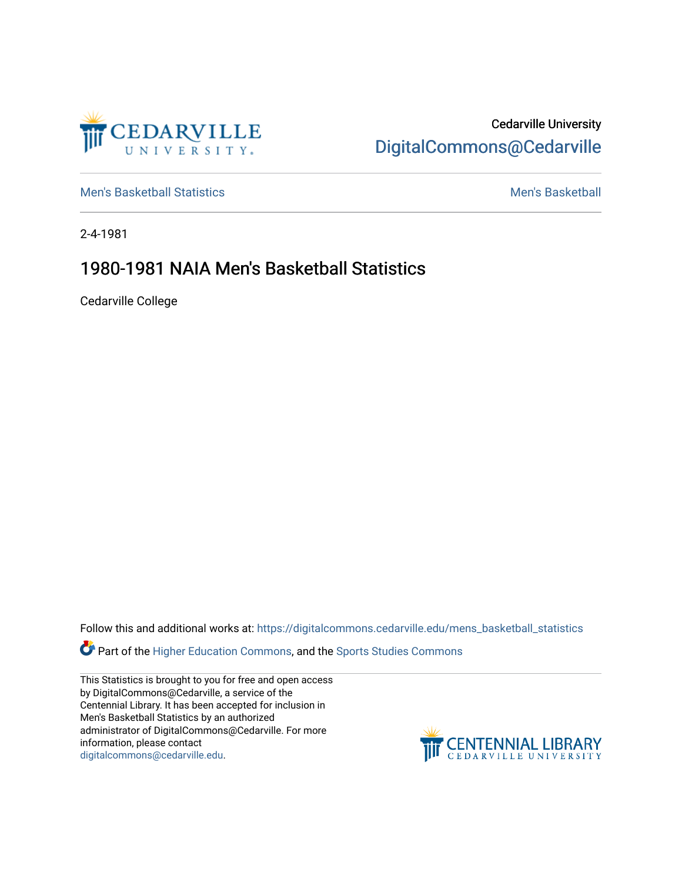

Cedarville University [DigitalCommons@Cedarville](https://digitalcommons.cedarville.edu/) 

[Men's Basketball Statistics](https://digitalcommons.cedarville.edu/mens_basketball_statistics) [Men's Basketball](https://digitalcommons.cedarville.edu/mens_basketball) 

2-4-1981

## 1980-1981 NAIA Men's Basketball Statistics

Cedarville College

Follow this and additional works at: [https://digitalcommons.cedarville.edu/mens\\_basketball\\_statistics](https://digitalcommons.cedarville.edu/mens_basketball_statistics?utm_source=digitalcommons.cedarville.edu%2Fmens_basketball_statistics%2F450&utm_medium=PDF&utm_campaign=PDFCoverPages) 

Part of the [Higher Education Commons,](http://network.bepress.com/hgg/discipline/1245?utm_source=digitalcommons.cedarville.edu%2Fmens_basketball_statistics%2F450&utm_medium=PDF&utm_campaign=PDFCoverPages) and the [Sports Studies Commons](http://network.bepress.com/hgg/discipline/1198?utm_source=digitalcommons.cedarville.edu%2Fmens_basketball_statistics%2F450&utm_medium=PDF&utm_campaign=PDFCoverPages) 

This Statistics is brought to you for free and open access by DigitalCommons@Cedarville, a service of the Centennial Library. It has been accepted for inclusion in Men's Basketball Statistics by an authorized administrator of DigitalCommons@Cedarville. For more information, please contact [digitalcommons@cedarville.edu](mailto:digitalcommons@cedarville.edu).

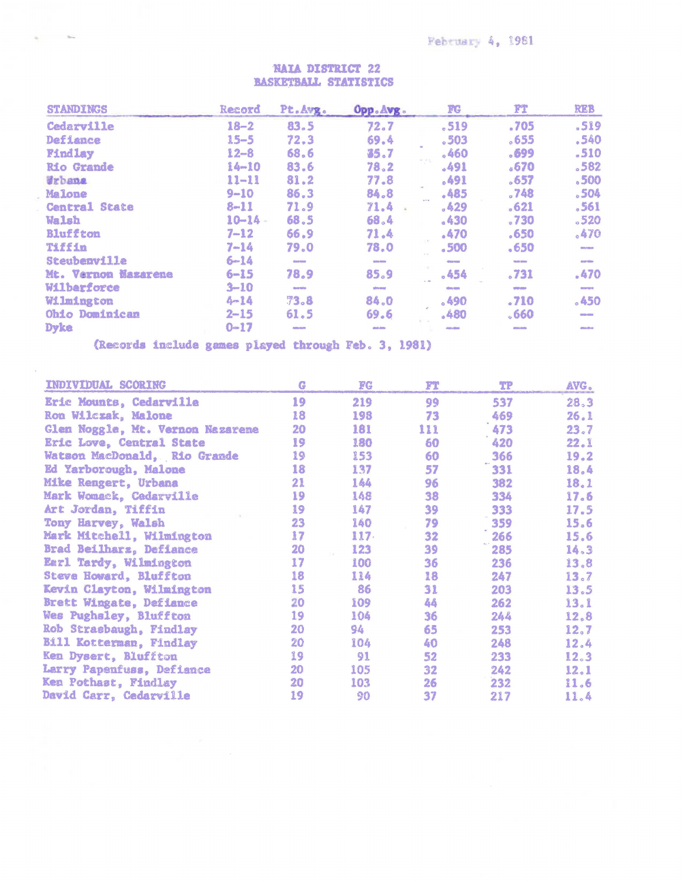## **NAIA DISTRICT 22 BASKETBALL STATISTICS**

| <b>STANDINGS</b>      | Record      | Pt.Avg.                         | Opp.Avg.             | <b>FG</b>         | PT <sup>-</sup>   | <b>REB</b>         |
|-----------------------|-------------|---------------------------------|----------------------|-------------------|-------------------|--------------------|
| Cedarville            | $18 - 2$    | 83.5                            | 72.7                 | .519              | .705              | .519               |
| Defiance              | $15 - 5$    | 72.3                            | 69.4                 | .503              | 0.655             | .540               |
| Findlay               | $12 - 8$    | 68.6                            | 35.7                 | $-460$            | .699              | .510               |
| <b>Rio Grande</b>     | $14 - 10$   | 83.6                            | 78.2                 | .491              | .670              | .582               |
| <b><i>Urbana</i></b>  | $11 - 11$   | 81.2                            | 77.8                 | .491              | .657              | .500               |
| Malone                | $9 - 10$    | 86.3                            | 84.8                 | .485              | .748              | .504               |
| <b>Central State</b>  | $8 - 11$    | 71.9                            | 71.4                 | $-429$            | .621              | .561               |
| Walsh                 | $10 - 14 -$ | 68.5                            | 68.4                 | .430              | .730              | .520               |
| <b>Bluffton</b>       | $7 - 12$    | 66.9                            | 71.4                 | .470              | .650              | .470               |
| Tiffin                | $7 - 14$    | 79.0                            | 78.0                 | .500              | .650              | diraz-doub         |
| Steubenville          | $6 - 14$    | <b>Analytical</b>               | <b>College Group</b> | <b>Characters</b> | <b>State show</b> | <b>continue</b>    |
| Mt. Vernon Mazarene   | $6 - 15$    | 78.9                            | 85.9                 | .454              | .731              | .470               |
| Wilbarforce           | $3 - 10$    | <b>Groving</b>                  | phones               | <b>Change</b>     | <b>USING</b>      | <b>CORP GETS</b>   |
| Wilmington            | $4 - 14$    | 73.8                            | 84.0                 | .490              | .710              | .450               |
| <b>Ohio Dominican</b> | $2 - 15$    | 61.5                            | 69.6                 | .480              | 560               | <b>COLORING</b>    |
| <b>Dyke</b>           | $0 - 17$    | <b><i><u>CONSTRUCTS</u></i></b> | <b>COLOR</b>         | <b>COLORADO</b>   |                   | <b>Clint Cryst</b> |

(Records include games played through Feb. 3, 1981)

| INDIVIDUAL SCORING               | G  | FG   | FT  | TP  | AVG. |
|----------------------------------|----|------|-----|-----|------|
| Eric Mounts, Cedarville          | 19 | 219  | 99  | 537 | 28.3 |
| Ron Wilczak, Malone              | 18 | 198  | 73  | 469 | 26.1 |
| Glen Noggle, Mt. Vernon Nazarene | 20 | 181  | 111 | 473 | 23.7 |
| Eric Love, Central State         | 19 | 180  | 60  | 420 | 22.1 |
| Watson MacDonald, Rio Grande     | 19 | 153  | 60  | 366 | 19.2 |
| Ed Yarborough, Malone            | 18 | 137  | 57  | 331 | 18.4 |
| Mike Rengert, Urbana             | 21 | 144  | 96  | 382 | 18.1 |
| Mark Womack, Cedarville          | 19 | 148  | 38  | 334 | 17.6 |
| Art Jordan, Tiffin               | 19 | 147  | 39  | 333 | 17.5 |
| Tony Harvey, Walsh               | 23 | 140  | 79  | 359 | 15.6 |
| Mark Mitchell, Wilmington        | 17 | 117. | 32  | 266 | 15.6 |
| Brad Beilharz, Defiance          | 20 | 123  | 39  | 285 | 14.3 |
| Earl Tardy, Wilmington           | 17 | 100  | 36  | 236 | 13.8 |
| Steve Howard, Bluffton           | 18 | 114  | 18  | 247 | 13.7 |
| Kevin Clayton, Wilmington        | 15 | 86   | 31  | 203 | 13.5 |
| Brett Wingate, Defiance          | 20 | 109  | 44  | 262 | 13.1 |
| Wes Pughsley, Bluffton           | 19 | 104  | 36  | 244 | 12.8 |
| Rob Strasbaugh, Findlay          | 20 | 94   | 65  | 253 | 12.7 |
| <b>Bill Kotterman, Findlay</b>   | 20 | 104  | 40  | 248 | 12.4 |
| Ken Dysert, Bluffton             | 19 | 91   | 52  | 233 | 12.3 |
| Larry Papenfuss, Defiance        | 20 | 105  | 32  | 242 | 12.1 |
| Ken Pothast, Findlay             | 20 | 103  | 26  | 232 | 11.6 |
| David Carr, Cedarville           | 19 | 90   | 37  | 217 | 11.4 |